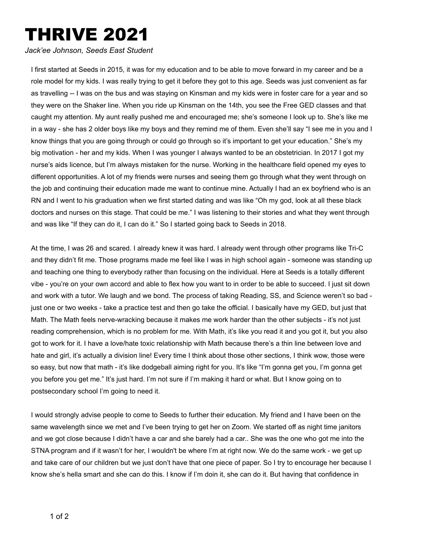## THRIVE 2021

*Jack'ee Johnson, Seeds East Student*

I first started at Seeds in 2015, it was for my education and to be able to move forward in my career and be a role model for my kids. I was really trying to get it before they got to this age. Seeds was just convenient as far as travelling -- I was on the bus and was staying on Kinsman and my kids were in foster care for a year and so they were on the Shaker line. When you ride up Kinsman on the 14th, you see the Free GED classes and that caught my attention. My aunt really pushed me and encouraged me; she's someone I look up to. She's like me in a way - she has 2 older boys like my boys and they remind me of them. Even she'll say "I see me in you and I know things that you are going through or could go through so it's important to get your education." She's my big motivation - her and my kids. When I was younger I always wanted to be an obstetrician. In 2017 I got my nurse's aids licence, but I'm always mistaken for the nurse. Working in the healthcare field opened my eyes to different opportunities. A lot of my friends were nurses and seeing them go through what they went through on the job and continuing their education made me want to continue mine. Actually I had an ex boyfriend who is an RN and I went to his graduation when we first started dating and was like "Oh my god, look at all these black doctors and nurses on this stage. That could be me." I was listening to their stories and what they went through and was like "If they can do it, I can do it." So I started going back to Seeds in 2018.

At the time, I was 26 and scared. I already knew it was hard. I already went through other programs like Tri-C and they didn't fit me. Those programs made me feel like I was in high school again - someone was standing up and teaching one thing to everybody rather than focusing on the individual. Here at Seeds is a totally different vibe - you're on your own accord and able to flex how you want to in order to be able to succeed. I just sit down and work with a tutor. We laugh and we bond. The process of taking Reading, SS, and Science weren't so bad just one or two weeks - take a practice test and then go take the official. I basically have my GED, but just that Math. The Math feels nerve-wracking because it makes me work harder than the other subjects - it's not just reading comprehension, which is no problem for me. With Math, it's like you read it and you got it, but you also got to work for it. I have a love/hate toxic relationship with Math because there's a thin line between love and hate and girl, it's actually a division line! Every time I think about those other sections, I think wow, those were so easy, but now that math - it's like dodgeball aiming right for you. It's like "I'm gonna get you, I'm gonna get you before you get me." It's just hard. I'm not sure if I'm making it hard or what. But I know going on to postsecondary school I'm going to need it.

I would strongly advise people to come to Seeds to further their education. My friend and I have been on the same wavelength since we met and I've been trying to get her on Zoom. We started off as night time janitors and we got close because I didn't have a car and she barely had a car.. She was the one who got me into the STNA program and if it wasn't for her, I wouldn't be where I'm at right now. We do the same work - we get up and take care of our children but we just don't have that one piece of paper. So I try to encourage her because I know she's hella smart and she can do this. I know if I'm doin it, she can do it. But having that confidence in